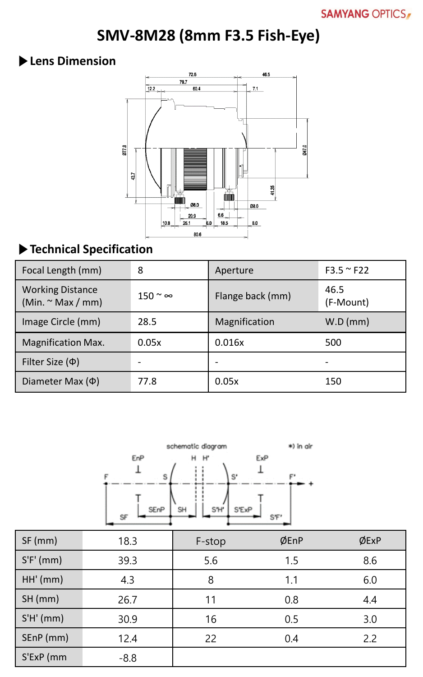# **SMV-8M28 (8mm F3.5 Fish-Eye)**

### **▶Lens Dimension**



# **▶Technical Specification**

| Focal Length (mm)                                 | 8                    | Aperture         | $F3.5 \approx F22$ |
|---------------------------------------------------|----------------------|------------------|--------------------|
| <b>Working Distance</b><br>(Min. $\sim$ Max / mm) | $150 \degree \infty$ | Flange back (mm) | 46.5<br>(F-Mount)  |
| Image Circle (mm)                                 | 28.5                 | Magnification    | W.D (mm)           |
| <b>Magnification Max.</b>                         | 0.05x                | 0.016x           | 500                |
| Filter Size $(\Phi)$                              |                      | -                | -                  |
| Diameter Max $(\Phi)$                             | 77.8                 | 0.05x            | 150                |



| $SF$ (mm)   | 18.3   | F-stop | ØEnP | ØExP |
|-------------|--------|--------|------|------|
| $S'F'$ (mm) | 39.3   | 5.6    | 1.5  | 8.6  |
| HH'(mm)     | 4.3    | 8      | 1.1  | 6.0  |
| $SH$ (mm)   | 26.7   | 11     | 0.8  | 4.4  |
| S'H'(mm)    | 30.9   | 16     | 0.5  | 3.0  |
| SEnP (mm)   | 12.4   | 22     | 0.4  | 2.2  |
| S'ExP (mm   | $-8.8$ |        |      |      |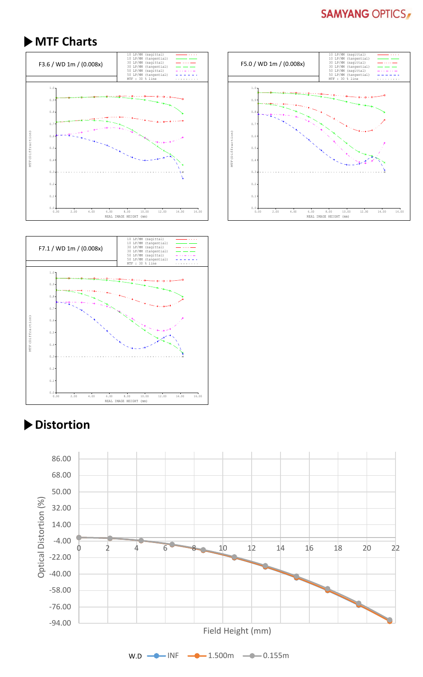#### **SAMYANG OPTICS**

#### **▶MTF Charts**







# **▶Distortion**